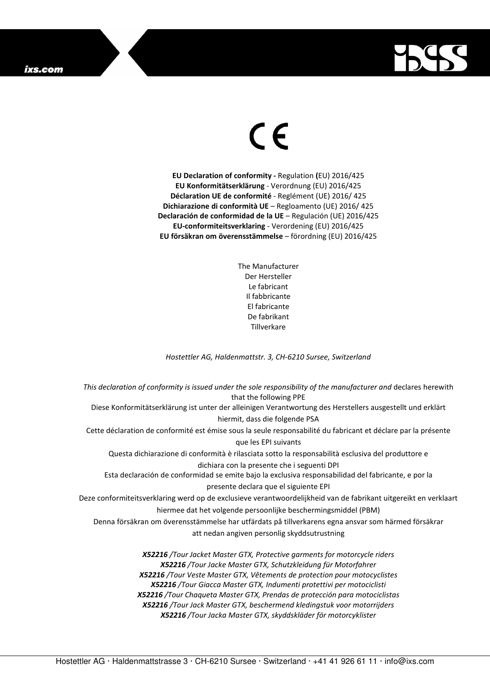## ixs.com



## $\in$

**EU Declaration of conformity -** Regulation **(**EU) 2016/425 **EU Konformitätserklärung** - Verordnung (EU) 2016/425 **Déclaration UE de conformité** - Reglément (UE) 2016/ 425 **Dichiarazione di conformità UE** – Regloamento (UE) 2016/ 425 **Declaración de conformidad de la UE** – Regulación (UE) 2016/425 **EU-conformiteitsverklaring** - Verordening (EU) 2016/425 **EU försäkran om överensstämmelse** – förordning (EU) 2016/425

> The Manufacturer Der Hersteller Le fabricant Il fabbricante El fabricante De fabrikant **Tillverkare**

*Hostettler AG, Haldenmattstr. 3, CH-6210 Sursee, Switzerland* 

*This declaration of conformity is issued under the sole responsibility of the manufacturer and* declares herewith that the following PPE Diese Konformitätserklärung ist unter der alleinigen Verantwortung des Herstellers ausgestellt und erklärt hiermit, dass die folgende PSA Cette déclaration de conformité est émise sous la seule responsabilité du fabricant et déclare par la présente que les EPI suivants Questa dichiarazione di conformità è rilasciata sotto la responsabilità esclusiva del produttore e dichiara con la presente che i seguenti DPI Esta declaración de conformidad se emite bajo la exclusiva responsabilidad del fabricante, e por la presente declara que el siguiente EPI Deze conformiteitsverklaring werd op de exclusieve verantwoordelijkheid van de fabrikant uitgereikt en verklaart hiermee dat het volgende persoonlijke beschermingsmiddel (PBM) Denna försäkran om överensstämmelse har utfärdats på tillverkarens egna ansvar som härmed försäkrar att nedan angiven personlig skyddsutrustning *X52216 /Tour Jacket Master GTX, Protective garments for motorcycle riders X52216 /Tour Jacke Master GTX, Schutzkleidung für Motorfahrer X52216 /Tour Veste Master GTX, Vêtements de protection pour motocyclistes X52216 /Tour Giacca Master GTX, Indumenti protettivi per motociclisti X52216 /Tour Chaqueta Master GTX, Prendas de protección para motociclistas* 

*X52216 /Tour Jack Master GTX, beschermend kledingstuk voor motorrijders* 

*X52216 /Tour Jacka Master GTX, skyddskläder för motorcyklister*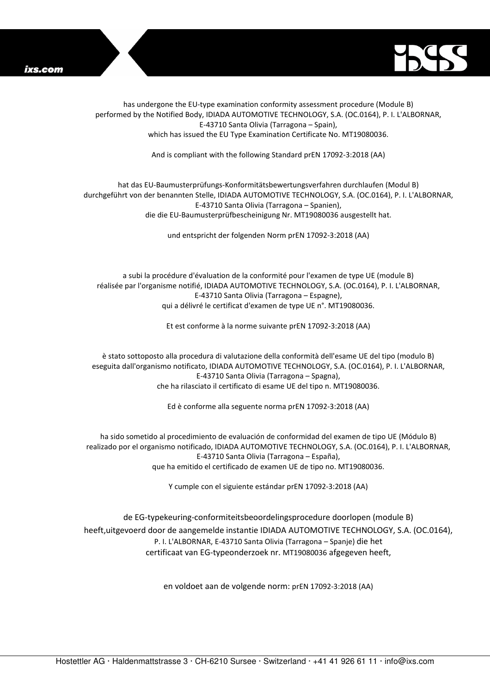



has undergone the EU-type examination conformity assessment procedure (Module B) performed by the Notified Body, IDIADA AUTOMOTIVE TECHNOLOGY, S.A. (OC.0164), P. I. L'ALBORNAR, E-43710 Santa Olivia (Tarragona – Spain), which has issued the EU Type Examination Certificate No. MT19080036.

And is compliant with the following Standard prEN 17092-3:2018 (AA)

## hat das EU-Baumusterprüfungs-Konformitätsbewertungsverfahren durchlaufen (Modul B) durchgeführt von der benannten Stelle, IDIADA AUTOMOTIVE TECHNOLOGY, S.A. (OC.0164), P. I. L'ALBORNAR, E-43710 Santa Olivia (Tarragona – Spanien), die die EU-Baumusterprüfbescheinigung Nr. MT19080036 ausgestellt hat.

und entspricht der folgenden Norm prEN 17092-3:2018 (AA)

a subi la procédure d'évaluation de la conformité pour l'examen de type UE (module B) réalisée par l'organisme notifié, IDIADA AUTOMOTIVE TECHNOLOGY, S.A. (OC.0164), P. I. L'ALBORNAR, E-43710 Santa Olivia (Tarragona – Espagne), qui a délivré le certificat d'examen de type UE n°. MT19080036.

Et est conforme à la norme suivante prEN 17092-3:2018 (AA)

è stato sottoposto alla procedura di valutazione della conformità dell'esame UE del tipo (modulo B) eseguita dall'organismo notificato, IDIADA AUTOMOTIVE TECHNOLOGY, S.A. (OC.0164), P. I. L'ALBORNAR, E-43710 Santa Olivia (Tarragona – Spagna), che ha rilasciato il certificato di esame UE del tipo n. MT19080036.

Ed è conforme alla seguente norma prEN 17092-3:2018 (AA)

ha sido sometido al procedimiento de evaluación de conformidad del examen de tipo UE (Módulo B) realizado por el organismo notificado, IDIADA AUTOMOTIVE TECHNOLOGY, S.A. (OC.0164), P. I. L'ALBORNAR, E-43710 Santa Olivia (Tarragona – España), que ha emitido el certificado de examen UE de tipo no. MT19080036.

Y cumple con el siguiente estándar prEN 17092-3:2018 (AA)

de EG-typekeuring-conformiteitsbeoordelingsprocedure doorlopen (module B) heeft,uitgevoerd door de aangemelde instantie IDIADA AUTOMOTIVE TECHNOLOGY, S.A. (OC.0164), P. I. L'ALBORNAR, E-43710 Santa Olivia (Tarragona – Spanje) die het certificaat van EG-typeonderzoek nr. MT19080036 afgegeven heeft,

en voldoet aan de volgende norm: prEN 17092-3:2018 (AA)